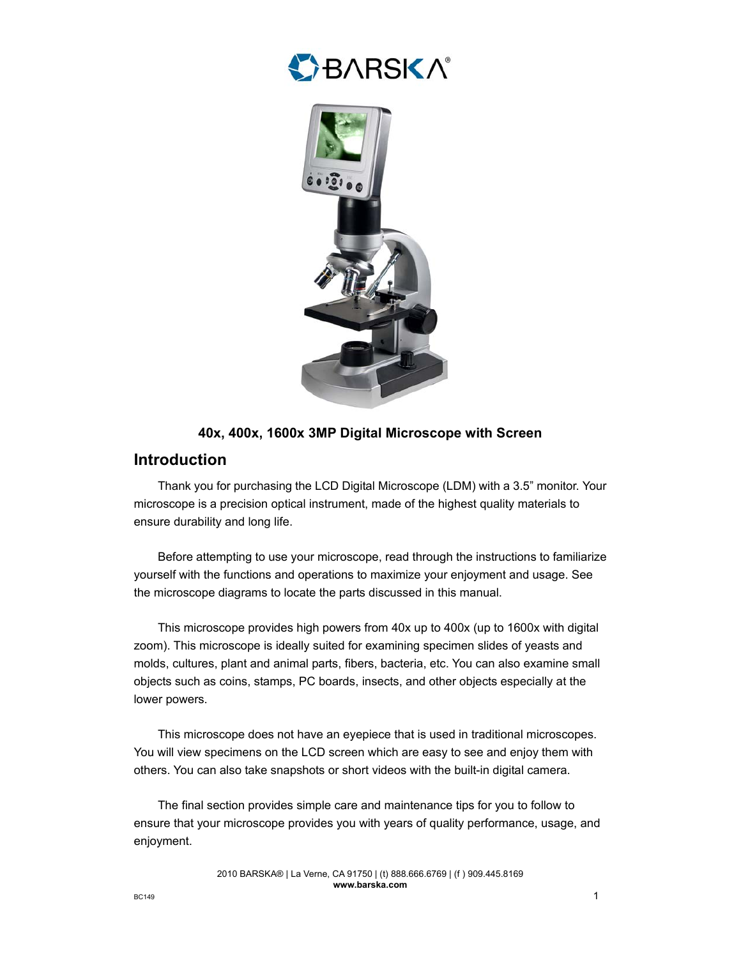



### **40x, 400x, 1600x 3MP Digital Microscope with Screen**

## **Introduction**

Thank you for purchasing the LCD Digital Microscope (LDM) with a 3.5" monitor. Your microscope is a precision optical instrument, made of the highest quality materials to ensure durability and long life.

Before attempting to use your microscope, read through the instructions to familiarize yourself with the functions and operations to maximize your enjoyment and usage. See the microscope diagrams to locate the parts discussed in this manual.

This microscope provides high powers from 40x up to 400x (up to 1600x with digital zoom). This microscope is ideally suited for examining specimen slides of yeasts and molds, cultures, plant and animal parts, fibers, bacteria, etc. You can also examine small objects such as coins, stamps, PC boards, insects, and other objects especially at the lower powers.

This microscope does not have an eyepiece that is used in traditional microscopes. You will view specimens on the LCD screen which are easy to see and enjoy them with others. You can also take snapshots or short videos with the built-in digital camera.

The final section provides simple care and maintenance tips for you to follow to ensure that your microscope provides you with years of quality performance, usage, and enjoyment.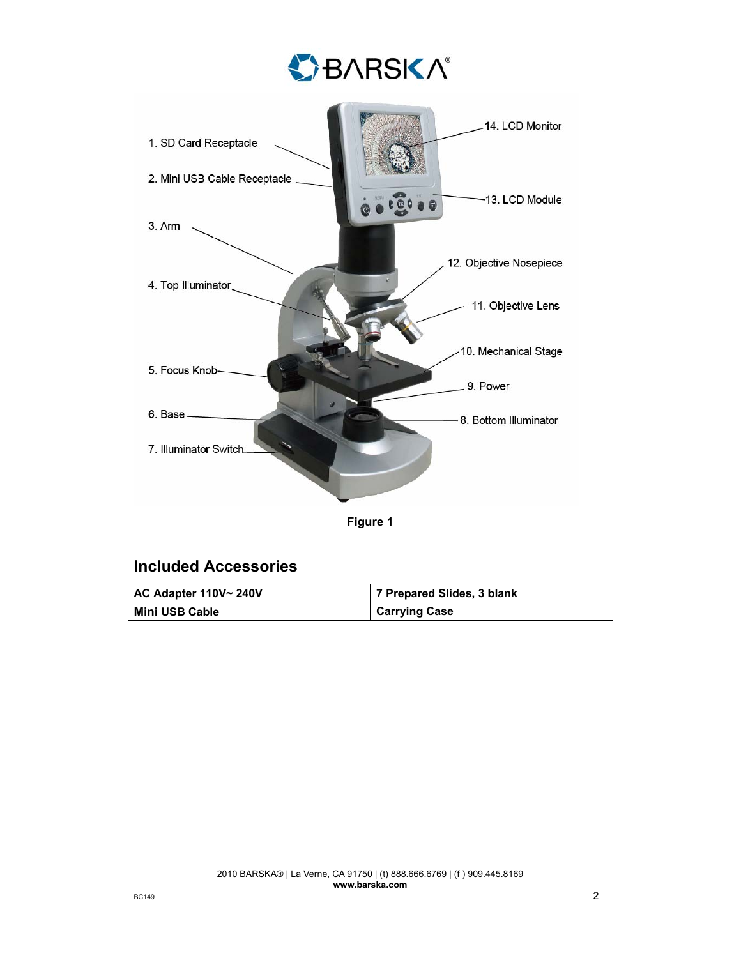

**Figure 1** 

## **Included Accessories**

| AC Adapter 110V~ 240V | 7 Prepared Slides, 3 blank |
|-----------------------|----------------------------|
| Mini USB Cable        | <b>Carrying Case</b>       |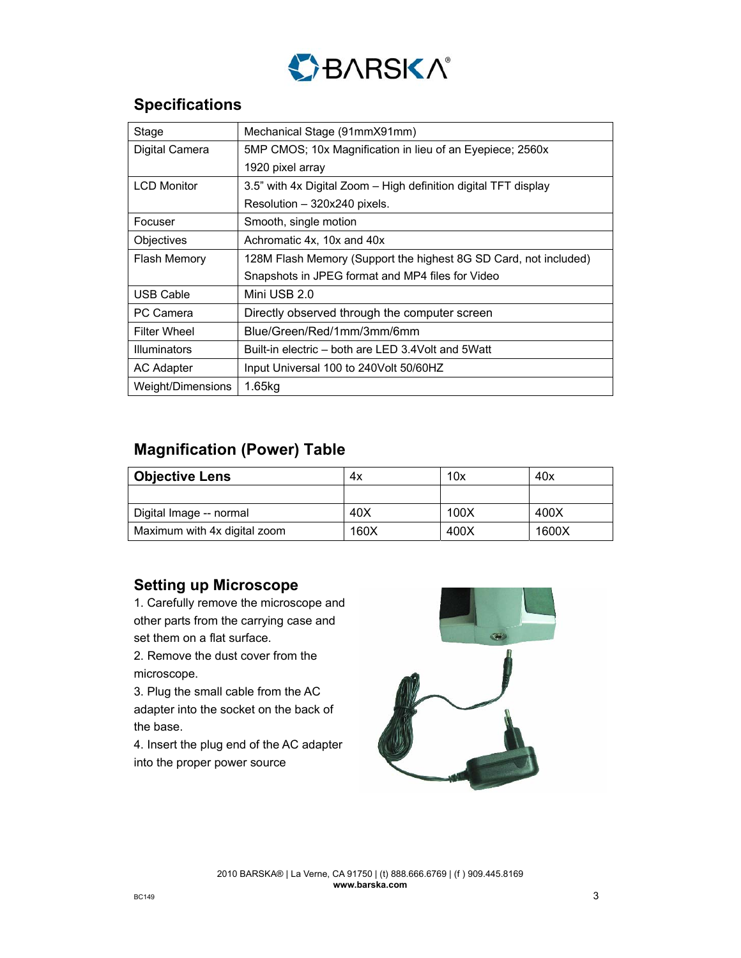

# **Specifications**

| Stage               | Mechanical Stage (91mmX91mm)                                     |
|---------------------|------------------------------------------------------------------|
| Digital Camera      | 5MP CMOS; 10x Magnification in lieu of an Eyepiece; 2560x        |
|                     | 1920 pixel array                                                 |
| <b>LCD Monitor</b>  | 3.5" with 4x Digital Zoom – High definition digital TFT display  |
|                     | Resolution - 320x240 pixels.                                     |
| Focuser             | Smooth, single motion                                            |
| Objectives          | Achromatic 4x, 10x and 40x                                       |
| <b>Flash Memory</b> | 128M Flash Memory (Support the highest 8G SD Card, not included) |
|                     | Snapshots in JPEG format and MP4 files for Video                 |
| USB Cable           | Mini USB 2.0                                                     |
| PC Camera           | Directly observed through the computer screen                    |
| <b>Filter Wheel</b> | Blue/Green/Red/1mm/3mm/6mm                                       |
| Illuminators        | Built-in electric – both are LED 3.4Volt and 5Watt               |
| AC Adapter          | Input Universal 100 to 240 Volt 50/60 HZ                         |
| Weight/Dimensions   | 1.65kg                                                           |

# **Magnification (Power) Table**

| <b>Objective Lens</b>        | 4х   | 10x  | 40x   |
|------------------------------|------|------|-------|
|                              |      |      |       |
| Digital Image -- normal      | 40X  | 100X | 400X  |
| Maximum with 4x digital zoom | 160X | 400X | 1600X |

## **Setting up Microscope**

1. Carefully remove the microscope and other parts from the carrying case and set them on a flat surface.

2. Remove the dust cover from the microscope.

3. Plug the small cable from the AC adapter into the socket on the back of the base.

4. Insert the plug end of the AC adapter into the proper power source

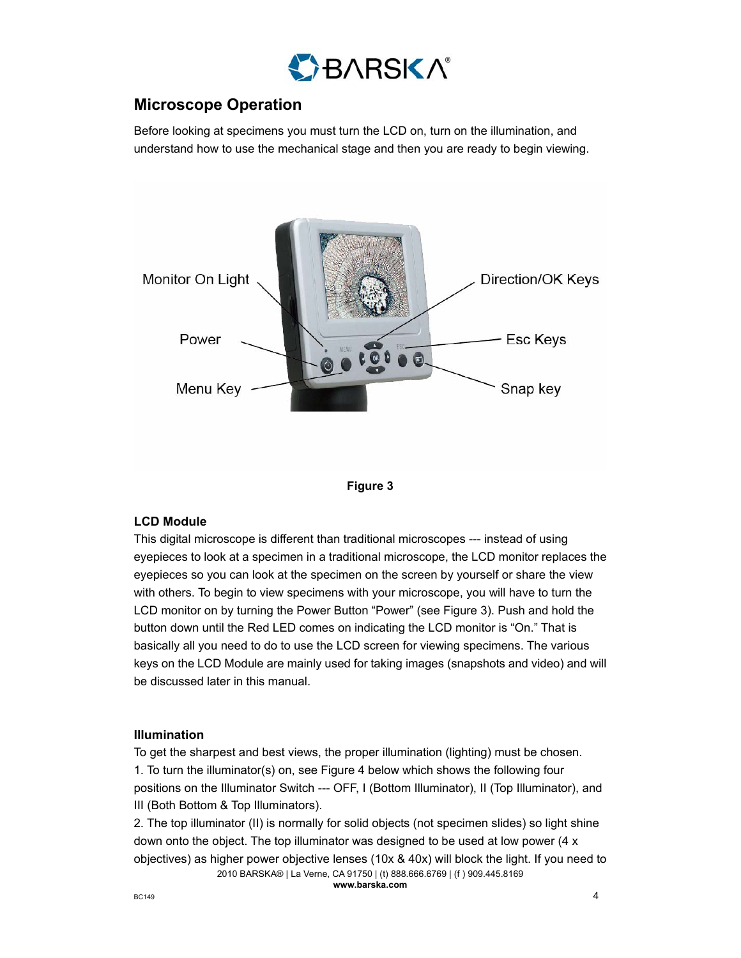

# **Microscope Operation**

Before looking at specimens you must turn the LCD on, turn on the illumination, and understand how to use the mechanical stage and then you are ready to begin viewing.





### **LCD Module**

This digital microscope is different than traditional microscopes --- instead of using eyepieces to look at a specimen in a traditional microscope, the LCD monitor replaces the eyepieces so you can look at the specimen on the screen by yourself or share the view with others. To begin to view specimens with your microscope, you will have to turn the LCD monitor on by turning the Power Button "Power" (see Figure 3). Push and hold the button down until the Red LED comes on indicating the LCD monitor is "On." That is basically all you need to do to use the LCD screen for viewing specimens. The various keys on the LCD Module are mainly used for taking images (snapshots and video) and will be discussed later in this manual.

### **Illumination**

To get the sharpest and best views, the proper illumination (lighting) must be chosen. 1. To turn the illuminator(s) on, see Figure 4 below which shows the following four positions on the Illuminator Switch --- OFF, I (Bottom Illuminator), II (Top Illuminator), and III (Both Bottom & Top Illuminators).

2010 BARSKA® | La Verne, CA 91750 | (t) 888.666.6769 | (f ) 909.445.8169 2. The top illuminator (II) is normally for solid objects (not specimen slides) so light shine down onto the object. The top illuminator was designed to be used at low power (4 x objectives) as higher power objective lenses (10x & 40x) will block the light. If you need to

**www.barska.com**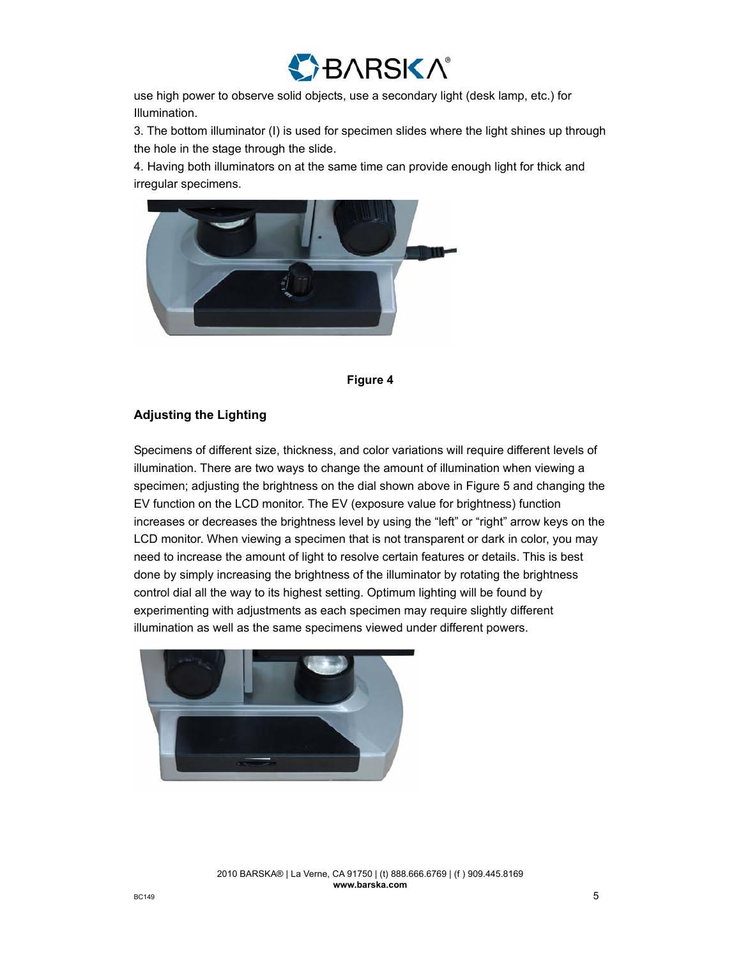

use high power to observe solid objects, use a secondary light (desk lamp, etc.) for Illumination.

3. The bottom illuminator (I) is used for specimen slides where the light shines up through the hole in the stage through the slide.

4. Having both illuminators on at the same time can provide enough light for thick and irregular specimens.





#### **Adjusting the Lighting**

Specimens of different size, thickness, and color variations will require different levels of illumination. There are two ways to change the amount of illumination when viewing a specimen; adjusting the brightness on the dial shown above in Figure 5 and changing the EV function on the LCD monitor. The EV (exposure value for brightness) function increases or decreases the brightness level by using the "left" or "right" arrow keys on the LCD monitor. When viewing a specimen that is not transparent or dark in color, you may need to increase the amount of light to resolve certain features or details. This is best done by simply increasing the brightness of the illuminator by rotating the brightness control dial all the way to its highest setting. Optimum lighting will be found by experimenting with adjustments as each specimen may require slightly different illumination as well as the same specimens viewed under different powers.

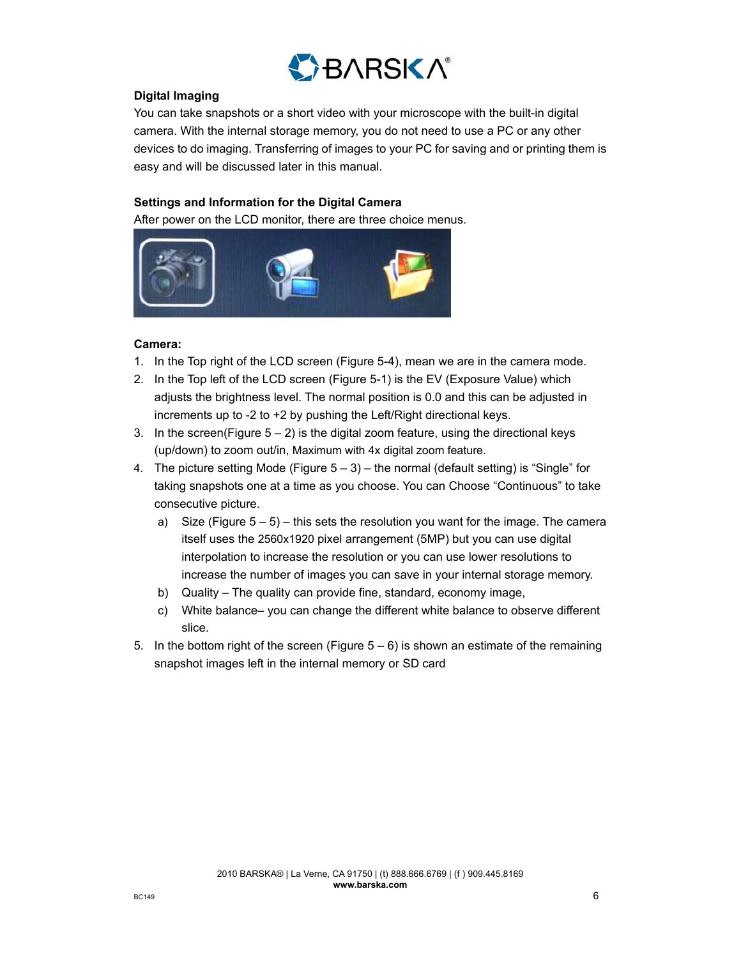

#### **Digital Imaging**

You can take snapshots or a short video with your microscope with the built-in digital camera. With the internal storage memory, you do not need to use a PC or any other devices to do imaging. Transferring of images to your PC for saving and or printing them is easy and will be discussed later in this manual.

#### **Settings and Information for the Digital Camera**

After power on the LCD monitor, there are three choice menus.



#### **Camera:**

- 1. In the Top right of the LCD screen (Figure 5-4), mean we are in the camera mode.
- 2. In the Top left of the LCD screen (Figure 5-1) is the EV (Exposure Value) which adjusts the brightness level. The normal position is 0.0 and this can be adjusted in increments up to -2 to +2 by pushing the Left/Right directional keys.
- 3. In the screen(Figure  $5 2$ ) is the digital zoom feature, using the directional keys (up/down) to zoom out/in, Maximum with 4x digital zoom feature.
- 4. The picture setting Mode (Figure  $5 3$ ) the normal (default setting) is "Single" for taking snapshots one at a time as you choose. You can Choose "Continuous" to take consecutive picture.
	- a) Size (Figure  $5 5$ ) this sets the resolution you want for the image. The camera itself uses the 2560x1920 pixel arrangement (5MP) but you can use digital interpolation to increase the resolution or you can use lower resolutions to increase the number of images you can save in your internal storage memory.
	- b) Quality The quality can provide fine, standard, economy image,
	- c) White balance– you can change the different white balance to observe different slice.
- 5. In the bottom right of the screen (Figure  $5-6$ ) is shown an estimate of the remaining snapshot images left in the internal memory or SD card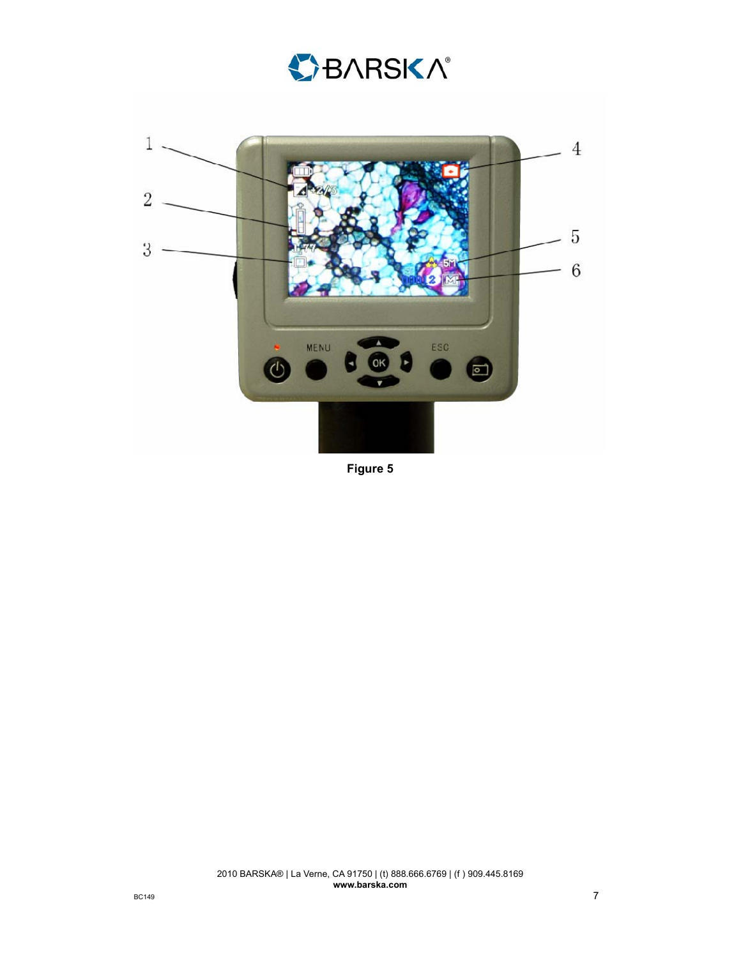



**Figure 5**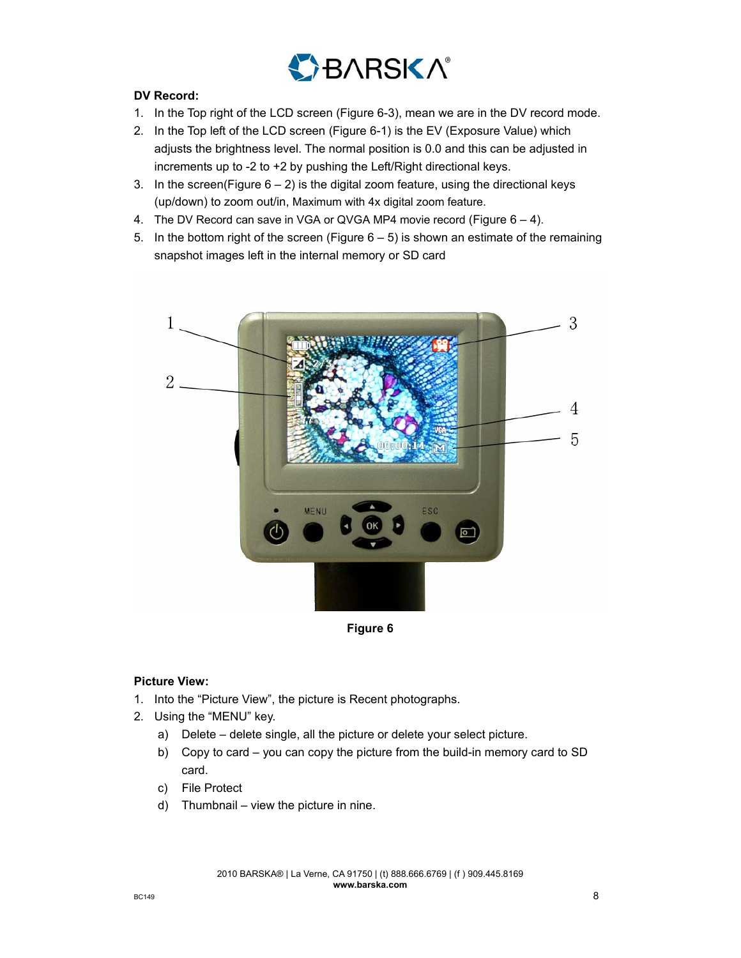

## **DV Record:**

- 1. In the Top right of the LCD screen (Figure 6-3), mean we are in the DV record mode.
- 2. In the Top left of the LCD screen (Figure 6-1) is the EV (Exposure Value) which adjusts the brightness level. The normal position is 0.0 and this can be adjusted in increments up to -2 to +2 by pushing the Left/Right directional keys.
- 3. In the screen(Figure  $6 2$ ) is the digital zoom feature, using the directional keys (up/down) to zoom out/in, Maximum with 4x digital zoom feature.
- 4. The DV Record can save in VGA or QVGA MP4 movie record (Figure 6 4).
- 5. In the bottom right of the screen (Figure  $6-5$ ) is shown an estimate of the remaining snapshot images left in the internal memory or SD card



**Figure 6** 

### **Picture View:**

- 1. Into the "Picture View", the picture is Recent photographs.
- 2. Using the "MENU" key.
	- a) Delete delete single, all the picture or delete your select picture.
	- b) Copy to card you can copy the picture from the build-in memory card to SD card.
	- c) File Protect
	- d) Thumbnail view the picture in nine.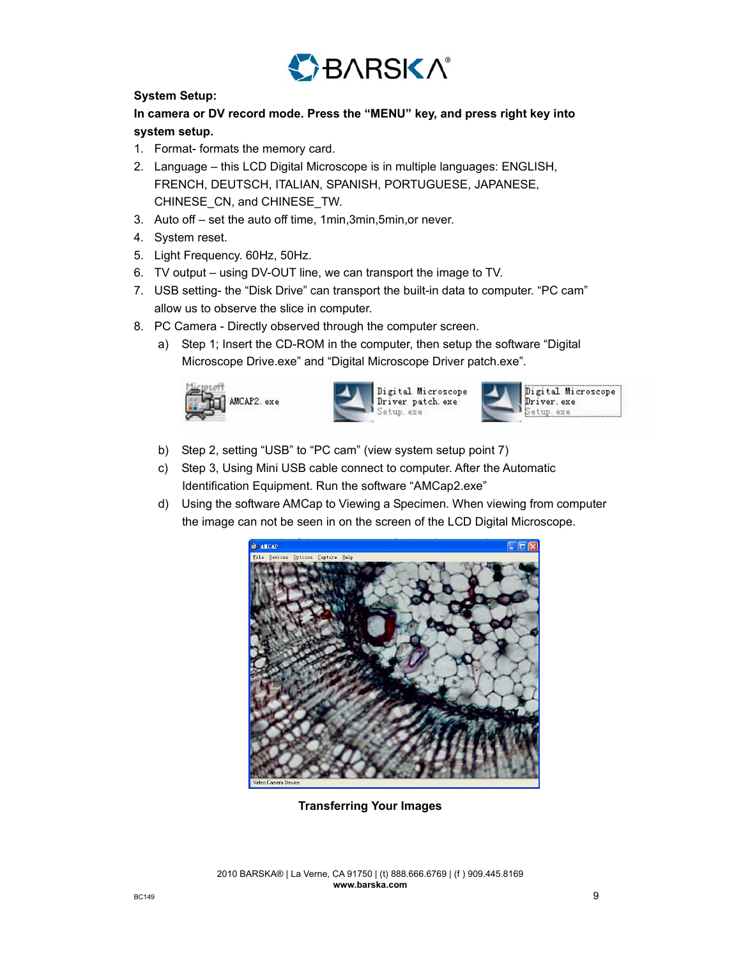

## **System Setup:**

## **In camera or DV record mode. Press the "MENU" key, and press right key into system setup.**

- 1. Format- formats the memory card.
- 2. Language this LCD Digital Microscope is in multiple languages: ENGLISH, FRENCH, DEUTSCH, ITALIAN, SPANISH, PORTUGUESE, JAPANESE, CHINESE\_CN, and CHINESE\_TW.
- 3. Auto off set the auto off time, 1min,3min,5min,or never.
- 4. System reset.
- 5. Light Frequency. 60Hz, 50Hz.
- 6. TV output using DV-OUT line, we can transport the image to TV.
- 7. USB setting- the "Disk Drive" can transport the built-in data to computer. "PC cam" allow us to observe the slice in computer.
- 8. PC Camera Directly observed through the computer screen.
	- a) Step 1; Insert the CD-ROM in the computer, then setup the software "Digital Microscope Drive.exe" and "Digital Microscope Driver patch.exe".







- b) Step 2, setting "USB" to "PC cam" (view system setup point 7)
- c) Step 3, Using Mini USB cable connect to computer. After the Automatic Identification Equipment. Run the software "AMCap2.exe"
- d) Using the software AMCap to Viewing a Specimen. When viewing from computer the image can not be seen in on the screen of the LCD Digital Microscope.



**Transferring Your Images**